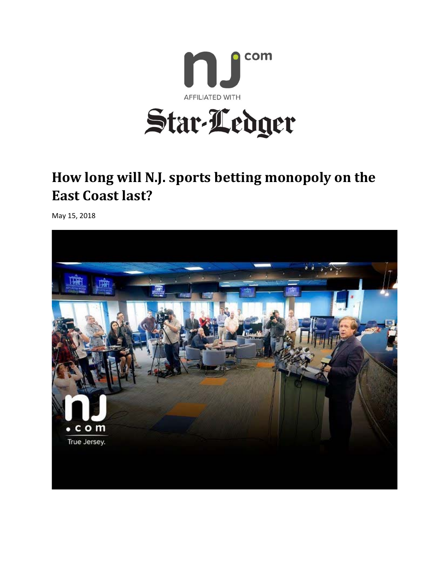

## **How long will N.J. sports betting monopoly on the East Coast last?**

May 15, 2018

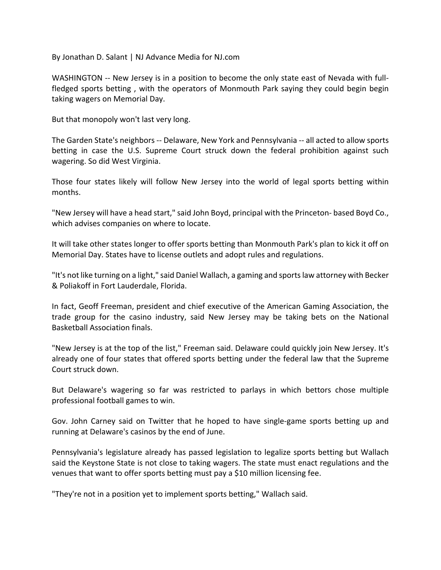By Jonathan D. Salant | NJ Advance Media for NJ.com

WASHINGTON -- New Jersey is in a position to become the only state east of Nevada with fullfledged sports betting, with the operators of Monmouth Park saying they could begin begin taking wagers on Memorial Day.

But that monopoly won't last very long.

The Garden State's neighbors ‐‐ Delaware, New York and Pennsylvania ‐‐ all acted to allow sports betting in case the U.S. Supreme Court struck down the federal prohibition against such wagering. So did West Virginia.

Those four states likely will follow New Jersey into the world of legal sports betting within months.

"New Jersey will have a head start," said John Boyd, principal with the Princeton‐ based Boyd Co., which advises companies on where to locate.

It will take other states longer to offer sports betting than Monmouth Park's plan to kick it off on Memorial Day. States have to license outlets and adopt rules and regulations.

"It's not like turning on a light," said Daniel Wallach, a gaming and sports law attorney with Becker & Poliakoff in Fort Lauderdale, Florida.

In fact, Geoff Freeman, president and chief executive of the American Gaming Association, the trade group for the casino industry, said New Jersey may be taking bets on the National Basketball Association finals.

"New Jersey is at the top of the list," Freeman said. Delaware could quickly join New Jersey. It's already one of four states that offered sports betting under the federal law that the Supreme Court struck down.

But Delaware's wagering so far was restricted to parlays in which bettors chose multiple professional football games to win.

Gov. John Carney said on Twitter that he hoped to have single‐game sports betting up and running at Delaware's casinos by the end of June.

Pennsylvania's legislature already has passed legislation to legalize sports betting but Wallach said the Keystone State is not close to taking wagers. The state must enact regulations and the venues that want to offer sports betting must pay a \$10 million licensing fee.

"They're not in a position yet to implement sports betting," Wallach said.